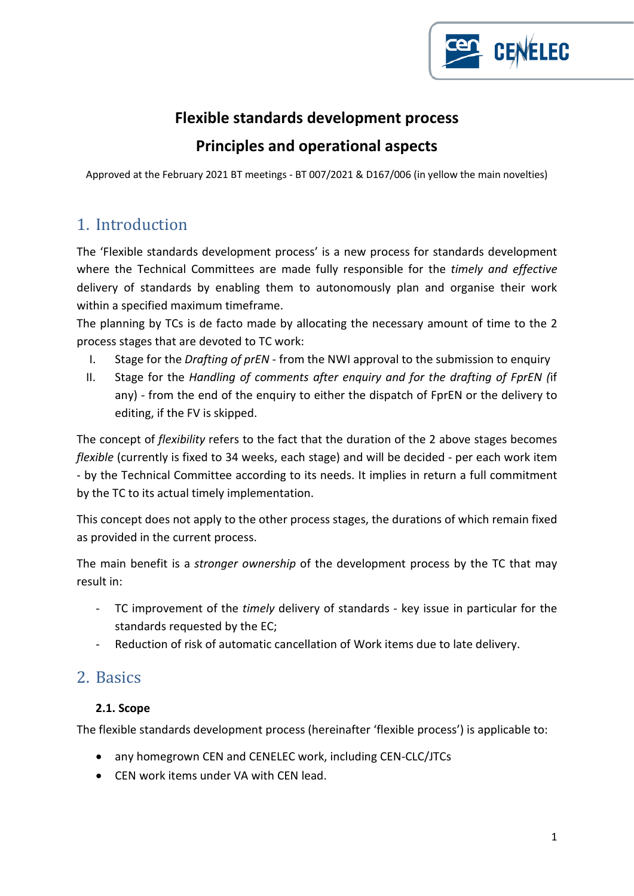

### **Flexible standards development process**

### **Principles and operational aspects**

Approved at the February 2021 BT meetings - BT 007/2021 & D167/006 (in yellow the main novelties)

## 1. Introduction

The 'Flexible standards development process' is a new process for standards development where the Technical Committees are made fully responsible for the *timely and effective* delivery of standards by enabling them to autonomously plan and organise their work within a specified maximum timeframe.

The planning by TCs is de facto made by allocating the necessary amount of time to the 2 process stages that are devoted to TC work:

- I. Stage for the *Drafting of prEN* from the NWI approval to the submission to enquiry
- II. Stage for the *Handling of comments after enquiry and for the drafting of FprEN (*if any) - from the end of the enquiry to either the dispatch of FprEN or the delivery to editing, if the FV is skipped.

The concept of *flexibility* refers to the fact that the duration of the 2 above stages becomes *flexible* (currently is fixed to 34 weeks, each stage) and will be decided - per each work item - by the Technical Committee according to its needs. It implies in return a full commitment by the TC to its actual timely implementation.

This concept does not apply to the other process stages, the durations of which remain fixed as provided in the current process.

The main benefit is a *stronger ownership* of the development process by the TC that may result in:

- TC improvement of the *timely* delivery of standards key issue in particular for the standards requested by the EC;
- Reduction of risk of automatic cancellation of Work items due to late delivery.

## 2. Basics

### **2.1. Scope**

The flexible standards development process (hereinafter 'flexible process') is applicable to:

- any homegrown CEN and CENELEC work, including CEN-CLC/JTCs
- CEN work items under VA with CEN lead.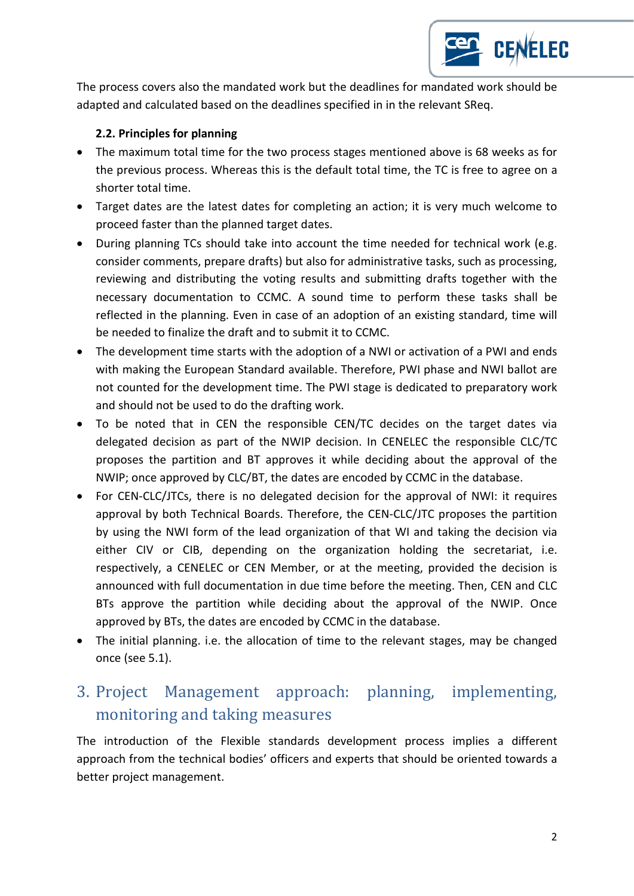

The process covers also the mandated work but the deadlines for mandated work should be adapted and calculated based on the deadlines specified in in the relevant SReq.

### **2.2. Principles for planning**

- The maximum total time for the two process stages mentioned above is 68 weeks as for the previous process. Whereas this is the default total time, the TC is free to agree on a shorter total time.
- Target dates are the latest dates for completing an action; it is very much welcome to proceed faster than the planned target dates.
- During planning TCs should take into account the time needed for technical work (e.g. consider comments, prepare drafts) but also for administrative tasks, such as processing, reviewing and distributing the voting results and submitting drafts together with the necessary documentation to CCMC. A sound time to perform these tasks shall be reflected in the planning. Even in case of an adoption of an existing standard, time will be needed to finalize the draft and to submit it to CCMC.
- The development time starts with the adoption of a NWI or activation of a PWI and ends with making the European Standard available. Therefore, PWI phase and NWI ballot are not counted for the development time. The PWI stage is dedicated to preparatory work and should not be used to do the drafting work.
- To be noted that in CEN the responsible CEN/TC decides on the target dates via delegated decision as part of the NWIP decision. In CENELEC the responsible CLC/TC proposes the partition and BT approves it while deciding about the approval of the NWIP; once approved by CLC/BT, the dates are encoded by CCMC in the database.
- For CEN-CLC/JTCs, there is no delegated decision for the approval of NWI: it requires approval by both Technical Boards. Therefore, the CEN-CLC/JTC proposes the partition by using the NWI form of the lead organization of that WI and taking the decision via either CIV or CIB, depending on the organization holding the secretariat, i.e. respectively, a CENELEC or CEN Member, or at the meeting, provided the decision is announced with full documentation in due time before the meeting. Then, CEN and CLC BTs approve the partition while deciding about the approval of the NWIP. Once approved by BTs, the dates are encoded by CCMC in the database.
- The initial planning. i.e. the allocation of time to the relevant stages, may be changed once (see 5.1).

## 3. Project Management approach: planning, implementing, monitoring and taking measures

The introduction of the Flexible standards development process implies a different approach from the technical bodies' officers and experts that should be oriented towards a better project management.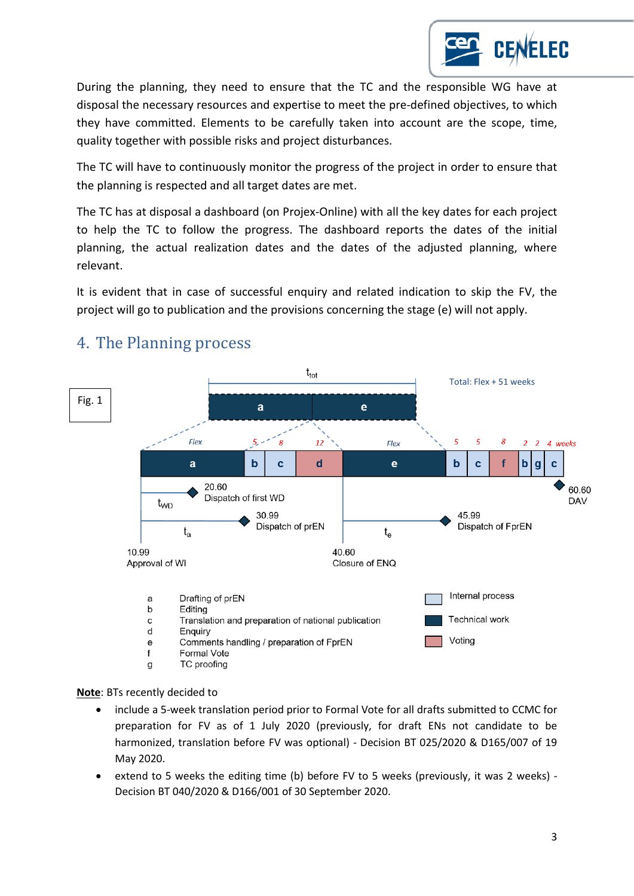During the planning, they need to ensure that the TC and the responsible WG have at disposal the necessary resources and expertise to meet the pre-defined objectives, to which they have committed. Elements to be carefully taken into account are the scope, time, quality together with possible risks and project disturbances.

The TC will have to continuously monitor the progress of the project in order to ensure that the planning is respected and all target dates are met.

The TC has at disposal a dashboard (on Projex-Online) with all the key dates for each project to help the TC to follow the progress. The dashboard reports the dates of the initial planning, the actual realization dates and the dates of the adjusted planning, where relevant.

It is evident that in case of successful enquiry and related indication to skip the FV, the project will go to publication and the provisions concerning the stage (e) will not apply.



## 4. The Planning process

**Note**: BTs recently decided to

- include a 5-week translation period prior to Formal Vote for all drafts submitted to CCMC for preparation for FV as of 1 July 2020 (previously, for draft ENs not candidate to be harmonized, translation before FV was optional) - Decision BT 025/2020 & D165/007 of 19 May 2020.
- extend to 5 weeks the editing time (b) before FV to 5 weeks (previously, it was 2 weeks) Decision BT 040/2020 & D166/001 of 30 September 2020.

**CENELEC**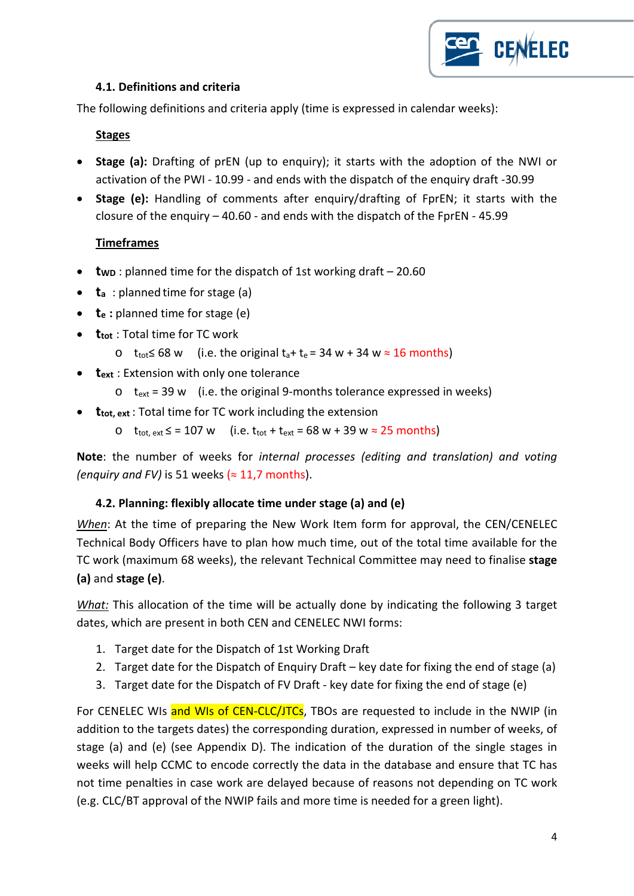

### **4.1. Definitions and criteria**

The following definitions and criteria apply (time is expressed in calendar weeks):

#### **Stages**

- **Stage (a):** Drafting of prEN (up to enquiry); it starts with the adoption of the NWI or activation of the PWI - 10.99 - and ends with the dispatch of the enquiry draft -30.99
- **Stage (e):** Handling of comments after enquiry/drafting of FprEN; it starts with the closure of the enquiry  $-40.60$  - and ends with the dispatch of the FprEN - 45.99

### **Timeframes**

- **two**: planned time for the dispatch of 1st working draft 20.60
- **ta** : planned time for stage (a)
- **t**e : planned time for stage (e)
- **ttot** : Total time for TC work
	- o t<sub>tot</sub> ≤ 68 w (i.e. the original t<sub>a</sub>+ t<sub>e</sub> = 34 w + 34 w  $\approx$  16 months)
- **text** : Extension with only one tolerance
	- $\circ$  t<sub>ext</sub> = 39 w (i.e. the original 9-months tolerance expressed in weeks)
- **t**<sub>tot, ext</sub>: Total time for TC work including the extension
	- o  $t_{\text{tot, ext}}$  ≤ = 107 w (i.e.  $t_{\text{tot}}$  +  $t_{\text{ext}}$  = 68 w + 39 w ≈ 25 months)

**Note**: the number of weeks for *internal processes (editing and translation) and voting (enquiry and FV)* is 51 weeks  $($   $\approx$  11,7 months).

### **4.2. Planning: flexibly allocate time under stage (a) and (e)**

*When*: At the time of preparing the New Work Item form for approval, the CEN/CENELEC Technical Body Officers have to plan how much time, out of the total time available for the TC work (maximum 68 weeks), the relevant Technical Committee may need to finalise **stage (a)** and **stage (e)**.

*What:* This allocation of the time will be actually done by indicating the following 3 target dates, which are present in both CEN and CENELEC NWI forms:

- 1. Target date for the Dispatch of 1st Working Draft
- 2. Target date for the Dispatch of Enquiry Draft key date for fixing the end of stage (a)
- 3. Target date for the Dispatch of FV Draft key date for fixing the end of stage (e)

For CENELEC WIs and WIs of CEN-CLC/JTCs, TBOs are requested to include in the NWIP (in addition to the targets dates) the corresponding duration, expressed in number of weeks, of stage (a) and (e) (see Appendix D). The indication of the duration of the single stages in weeks will help CCMC to encode correctly the data in the database and ensure that TC has not time penalties in case work are delayed because of reasons not depending on TC work (e.g. CLC/BT approval of the NWIP fails and more time is needed for a green light).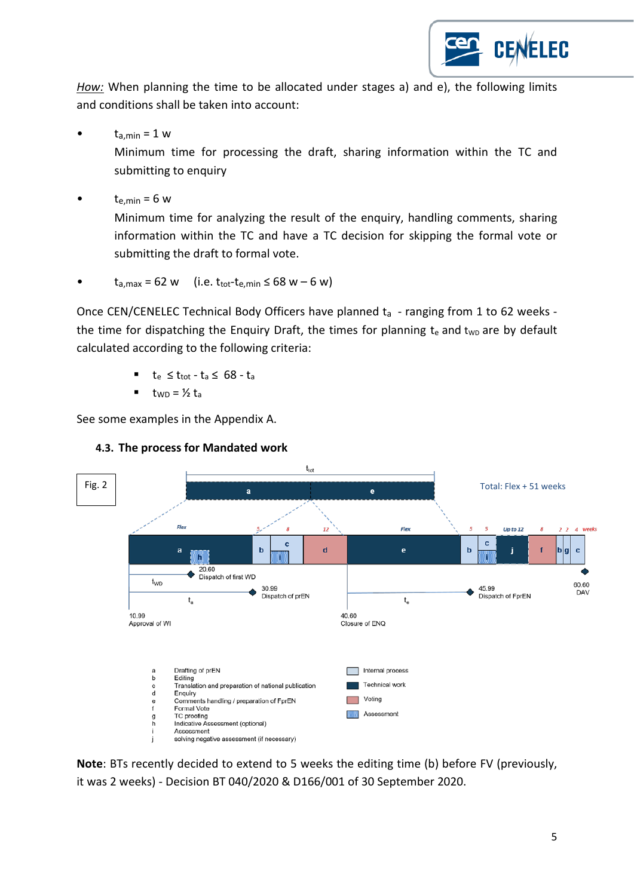

*How:* When planning the time to be allocated under stages a) and e), the following limits and conditions shall be taken into account:

 $t_{a,min} = 1$  w

Minimum time for processing the draft, sharing information within the TC and submitting to enquiry

 $t_{e,min} = 6$  w

Minimum time for analyzing the result of the enquiry, handling comments, sharing information within the TC and have a TC decision for skipping the formal vote or submitting the draft to formal vote.

 $t_{a,max} = 62$  w (i.e.  $t_{tot} - t_{e,min} \le 68$  w – 6 w)

Once CEN/CENELEC Technical Body Officers have planned  $t_a$  - ranging from 1 to 62 weeks the time for dispatching the Enquiry Draft, the times for planning  $t_e$  and  $t_{WD}$  are by default calculated according to the following criteria:

- $t_e \leq t_{tot}$   $t_a \leq 68$   $t_a$
- $t_{WD} = 1/2 t_0$

See some examples in the Appendix A.



### **4.3. The process for Mandated work**

**Note**: BTs recently decided to extend to 5 weeks the editing time (b) before FV (previously, it was 2 weeks) - Decision BT 040/2020 & D166/001 of 30 September 2020.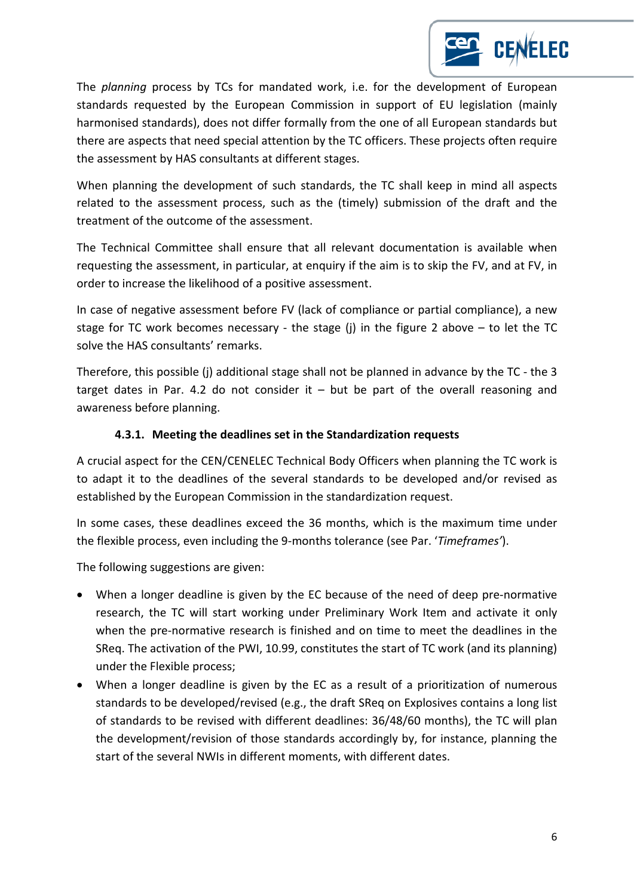The *planning* process by TCs for mandated work, i.e. for the development of European standards requested by the European Commission in support of EU legislation (mainly harmonised standards), does not differ formally from the one of all European standards but there are aspects that need special attention by the TC officers. These projects often require the assessment by HAS consultants at different stages.

When planning the development of such standards, the TC shall keep in mind all aspects related to the assessment process, such as the (timely) submission of the draft and the treatment of the outcome of the assessment.

The Technical Committee shall ensure that all relevant documentation is available when requesting the assessment, in particular, at enquiry if the aim is to skip the FV, and at FV, in order to increase the likelihood of a positive assessment.

In case of negative assessment before FV (lack of compliance or partial compliance), a new stage for TC work becomes necessary - the stage (j) in the figure 2 above  $-$  to let the TC solve the HAS consultants' remarks.

Therefore, this possible (j) additional stage shall not be planned in advance by the TC - the 3 target dates in Par. 4.2 do not consider it  $-$  but be part of the overall reasoning and awareness before planning.

### **4.3.1. Meeting the deadlines set in the Standardization requests**

A crucial aspect for the CEN/CENELEC Technical Body Officers when planning the TC work is to adapt it to the deadlines of the several standards to be developed and/or revised as established by the European Commission in the standardization request.

In some cases, these deadlines exceed the 36 months, which is the maximum time under the flexible process, even including the 9-months tolerance (see Par. '*Timeframes'*).

The following suggestions are given:

- When a longer deadline is given by the EC because of the need of deep pre-normative research, the TC will start working under Preliminary Work Item and activate it only when the pre-normative research is finished and on time to meet the deadlines in the SReq. The activation of the PWI, 10.99, constitutes the start of TC work (and its planning) under the Flexible process;
- When a longer deadline is given by the EC as a result of a prioritization of numerous standards to be developed/revised (e.g., the draft SReq on Explosives contains a long list of standards to be revised with different deadlines: 36/48/60 months), the TC will plan the development/revision of those standards accordingly by, for instance, planning the start of the several NWIs in different moments, with different dates.

**CENELEC**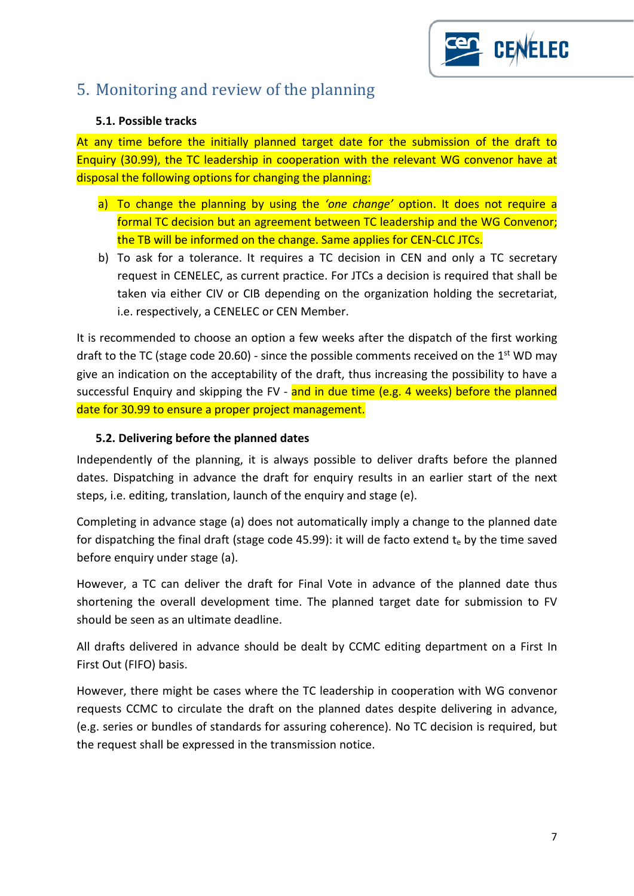

## 5. Monitoring and review of the planning

#### **5.1. Possible tracks**

At any time before the initially planned target date for the submission of the draft to Enquiry (30.99), the TC leadership in cooperation with the relevant WG convenor have at disposal the following options for changing the planning:

- a) To change the planning by using the *'one change'* option. It does not require a formal TC decision but an agreement between TC leadership and the WG Convenor; the TB will be informed on the change. Same applies for CEN-CLC JTCs.
- b) To ask for a tolerance. It requires a TC decision in CEN and only a TC secretary request in CENELEC, as current practice. For JTCs a decision is required that shall be taken via either CIV or CIB depending on the organization holding the secretariat, i.e. respectively, a CENELEC or CEN Member.

It is recommended to choose an option a few weeks after the dispatch of the first working draft to the TC (stage code 20.60) - since the possible comments received on the  $1<sup>st</sup>$  WD may give an indication on the acceptability of the draft, thus increasing the possibility to have a successful Enquiry and skipping the FV - and in due time (e.g. 4 weeks) before the planned date for 30.99 to ensure a proper project management.

#### **5.2. Delivering before the planned dates**

Independently of the planning, it is always possible to deliver drafts before the planned dates. Dispatching in advance the draft for enquiry results in an earlier start of the next steps, i.e. editing, translation, launch of the enquiry and stage (e).

Completing in advance stage (a) does not automatically imply a change to the planned date for dispatching the final draft (stage code 45.99): it will de facto extend  $t<sub>e</sub>$  by the time saved before enquiry under stage (a).

However, a TC can deliver the draft for Final Vote in advance of the planned date thus shortening the overall development time. The planned target date for submission to FV should be seen as an ultimate deadline.

All drafts delivered in advance should be dealt by CCMC editing department on a First In First Out (FIFO) basis.

However, there might be cases where the TC leadership in cooperation with WG convenor requests CCMC to circulate the draft on the planned dates despite delivering in advance, (e.g. series or bundles of standards for assuring coherence). No TC decision is required, but the request shall be expressed in the transmission notice.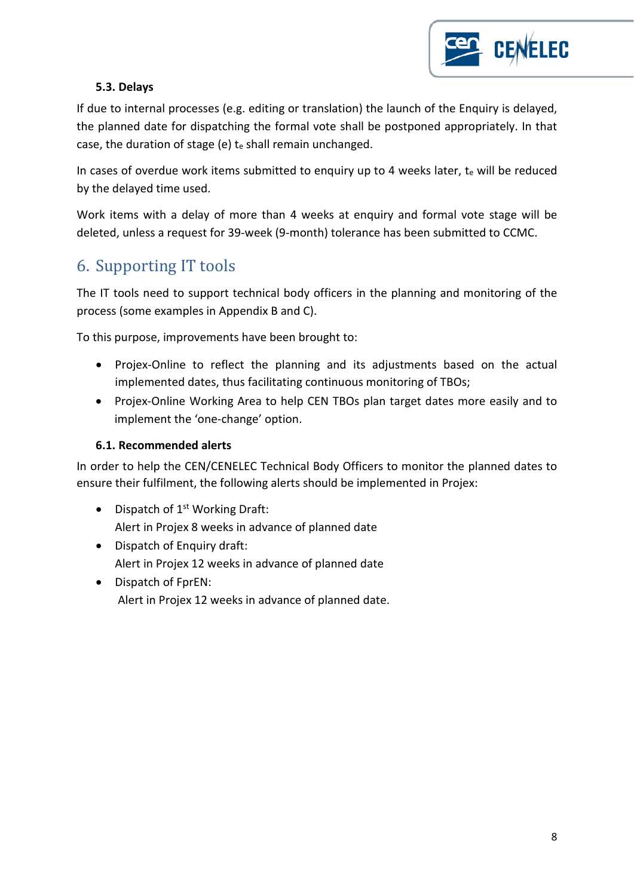

### **5.3. Delays**

If due to internal processes (e.g. editing or translation) the launch of the Enquiry is delayed, the planned date for dispatching the formal vote shall be postponed appropriately. In that case, the duration of stage (e)  $t<sub>e</sub>$  shall remain unchanged.

In cases of overdue work items submitted to enquiry up to 4 weeks later,  $t_e$  will be reduced by the delayed time used.

Work items with a delay of more than 4 weeks at enquiry and formal vote stage will be deleted, unless a request for 39-week (9-month) tolerance has been submitted to CCMC.

## 6. Supporting IT tools

The IT tools need to support technical body officers in the planning and monitoring of the process (some examples in Appendix B and C).

To this purpose, improvements have been brought to:

- Projex-Online to reflect the planning and its adjustments based on the actual implemented dates, thus facilitating continuous monitoring of TBOs;
- Projex-Online Working Area to help CEN TBOs plan target dates more easily and to implement the 'one-change' option.

### **6.1. Recommended alerts**

In order to help the CEN/CENELEC Technical Body Officers to monitor the planned dates to ensure their fulfilment, the following alerts should be implemented in Projex:

- Dispatch of  $1<sup>st</sup>$  Working Draft: Alert in Projex 8 weeks in advance of planned date
- Dispatch of Enquiry draft: Alert in Projex 12 weeks in advance of planned date
- Dispatch of FprEN: Alert in Projex 12 weeks in advance of planned date.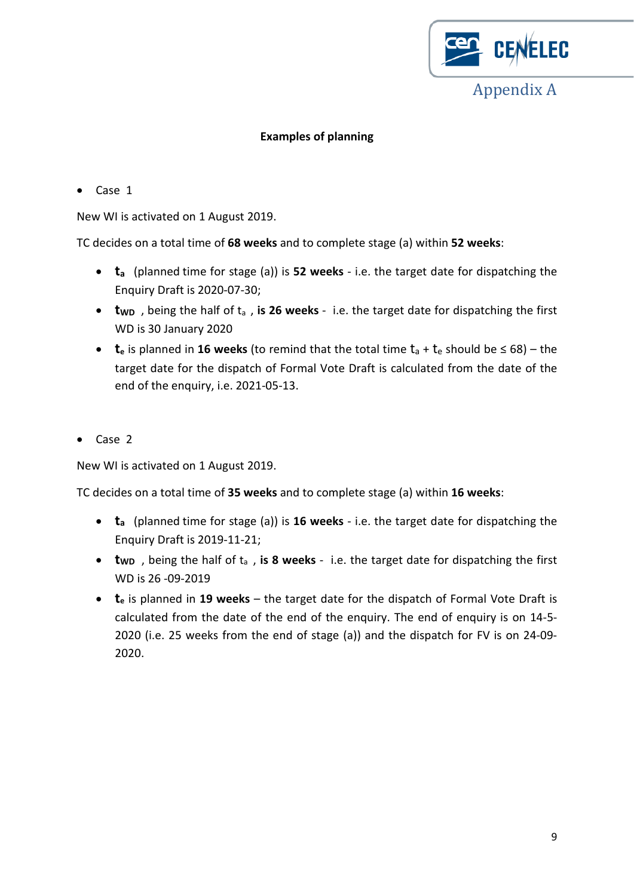

### **Examples of planning**

• Case 1

New WI is activated on 1 August 2019.

TC decides on a total time of **68 weeks** and to complete stage (a) within **52 weeks**:

- **ta** (planned time for stage (a)) is **52 weeks** i.e. the target date for dispatching the Enquiry Draft is 2020-07-30;
- **t**<sub>WD</sub>, being the half of t<sub>a</sub>, is 26 weeks i.e. the target date for dispatching the first WD is 30 January 2020
- **t**<sub>e</sub> is planned in 16 weeks (to remind that the total time  $t_a + t_e$  should be  $\leq 68$ ) the target date for the dispatch of Formal Vote Draft is calculated from the date of the end of the enquiry, i.e. 2021-05-13.
- Case 2

New WI is activated on 1 August 2019.

TC decides on a total time of **35 weeks** and to complete stage (a) within **16 weeks**:

- **ta** (planned time for stage (a)) is **16 weeks** i.e. the target date for dispatching the Enquiry Draft is 2019-11-21;
- **twp**, being the half of t<sub>a</sub>, is 8 weeks i.e. the target date for dispatching the first WD is 26 -09-2019
- **t**<sub>e</sub> is planned in 19 weeks the target date for the dispatch of Formal Vote Draft is calculated from the date of the end of the enquiry. The end of enquiry is on 14-5- 2020 (i.e. 25 weeks from the end of stage (a)) and the dispatch for FV is on 24-09- 2020.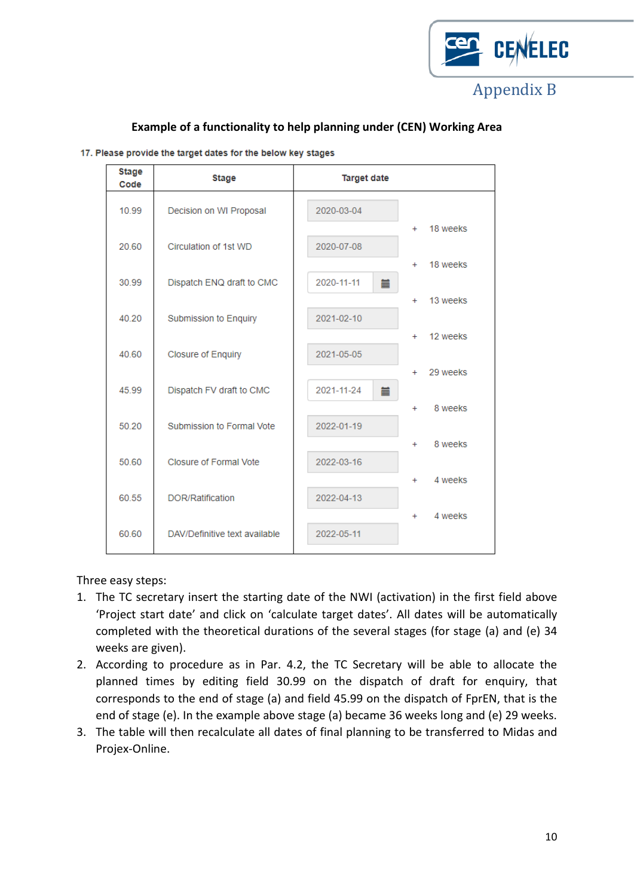

| <b>Stage</b><br>Code | <b>Stage</b>                  | <b>Target date</b> |                    |
|----------------------|-------------------------------|--------------------|--------------------|
| 10.99                | Decision on WI Proposal       | 2020-03-04         |                    |
| 20.60                | Circulation of 1st WD         | 2020-07-08         | 18 weeks<br>$+$    |
|                      |                               |                    | 18 weeks<br>$+$    |
| 30.99                | Dispatch ENQ draft to CMC     | 2020-11-11<br>篇    | 13 weeks<br>$+$    |
| 40.20                | Submission to Enquiry         | 2021-02-10         |                    |
| 40.60                | <b>Closure of Enquiry</b>     | 2021-05-05         | 12 weeks<br>$+$    |
|                      |                               |                    | 29 weeks<br>$^{+}$ |
| 45.99                | Dispatch FV draft to CMC      | 2021-11-24<br>萹    |                    |
| 50.20                | Submission to Formal Vote     | 2022-01-19         | 8 weeks<br>$+$     |
|                      |                               |                    | 8 weeks<br>$+$     |
| 50.60                | <b>Closure of Formal Vote</b> | 2022-03-16         | 4 weeks<br>$+$     |
| 60 55                | DOR/Ratification              | 2022-04-13         |                    |
| 60.60                | DAV/Definitive text available | 2022-05-11         | 4 weeks<br>$+$     |
|                      |                               |                    |                    |

### **Example of a functionality to help planning under (CEN) Working Area**

17. Please provide the target dates for the below key stages

Three easy steps:

- 1. The TC secretary insert the starting date of the NWI (activation) in the first field above 'Project start date' and click on 'calculate target dates'. All dates will be automatically completed with the theoretical durations of the several stages (for stage (a) and (e) 34 weeks are given).
- 2. According to procedure as in Par. 4.2, the TC Secretary will be able to allocate the planned times by editing field 30.99 on the dispatch of draft for enquiry, that corresponds to the end of stage (a) and field 45.99 on the dispatch of FprEN, that is the end of stage (e). In the example above stage (a) became 36 weeks long and (e) 29 weeks.
- 3. The table will then recalculate all dates of final planning to be transferred to Midas and Projex-Online.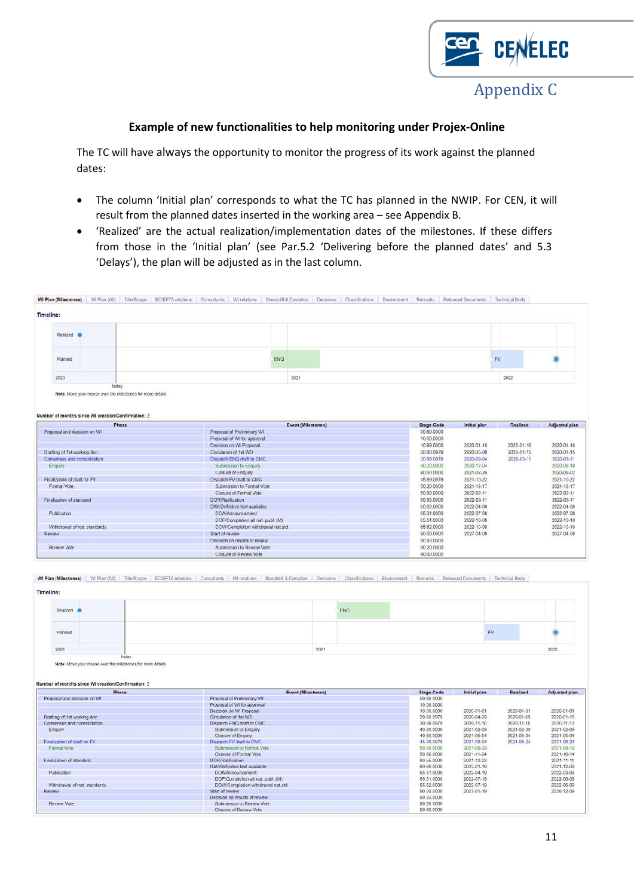

#### **Example of new functionalities to help monitoring under Projex-Online**

The TC will have always the opportunity to monitor the progress of its work against the planned dates:

- The column 'Initial plan' corresponds to what the TC has planned in the NWIP. For CEN, it will result from the planned dates inserted in the working area – see Appendix B.
- 'Realized' are the actual realization/implementation dates of the milestones. If these differs from those in the 'Initial plan' (see Par.5.2 'Delivering before the planned dates' and 5.3 'Delays'), the plan will be adjusted as in the last column.

| <b>Timeline:</b>                                                                                                                                                                                                                                                                                      |                                                                                                                                                                                                                                                         |                           |                          |                          |                          |     |                          |                          |
|-------------------------------------------------------------------------------------------------------------------------------------------------------------------------------------------------------------------------------------------------------------------------------------------------------|---------------------------------------------------------------------------------------------------------------------------------------------------------------------------------------------------------------------------------------------------------|---------------------------|--------------------------|--------------------------|--------------------------|-----|--------------------------|--------------------------|
|                                                                                                                                                                                                                                                                                                       |                                                                                                                                                                                                                                                         |                           |                          |                          |                          |     |                          |                          |
| Realized 6                                                                                                                                                                                                                                                                                            |                                                                                                                                                                                                                                                         |                           |                          |                          |                          |     |                          |                          |
| Planned                                                                                                                                                                                                                                                                                               | ENQ                                                                                                                                                                                                                                                     |                           |                          |                          |                          | FV  |                          |                          |
| 2020                                                                                                                                                                                                                                                                                                  |                                                                                                                                                                                                                                                         | 2021                      |                          |                          |                          |     | 2022                     |                          |
| today<br>Note: Move your mouse over the milestones for more details                                                                                                                                                                                                                                   |                                                                                                                                                                                                                                                         |                           |                          |                          |                          |     |                          |                          |
| Number of months since WI creation/Confirmation: 2                                                                                                                                                                                                                                                    |                                                                                                                                                                                                                                                         |                           |                          |                          |                          |     |                          |                          |
| Phase                                                                                                                                                                                                                                                                                                 |                                                                                                                                                                                                                                                         | <b>Event (Milestones)</b> |                          | <b>Stage-Code</b>        | Initial plan             |     | Realized                 | Adjusted plan            |
| Proposal and decision on WI                                                                                                                                                                                                                                                                           | Proposal of Preliminary WI                                                                                                                                                                                                                              |                           |                          | 00.60.0000               |                          |     |                          |                          |
|                                                                                                                                                                                                                                                                                                       | Proposal of WI for approval                                                                                                                                                                                                                             |                           |                          | 10.00.0000               |                          |     |                          |                          |
|                                                                                                                                                                                                                                                                                                       | Decision on WI Proposal                                                                                                                                                                                                                                 |                           |                          | 10.99.0000               | 2020-01-10               |     | 2020-01-10               | 2020-01-10               |
| Drafting of 1st working doc                                                                                                                                                                                                                                                                           | Circulation of 1st WD                                                                                                                                                                                                                                   |                           |                          | 20.60.0979               | 2020-05-08               |     | 2020-01-15               | 2020-01-15               |
| Consensus and consolidation                                                                                                                                                                                                                                                                           | Dispatch ENQ draft to CMC                                                                                                                                                                                                                               |                           |                          | 30.99.0979               | 2020-09-04               |     | 2020-03-11               | 2020-03-11               |
| Enquiry                                                                                                                                                                                                                                                                                               | Submission to Enquiry                                                                                                                                                                                                                                   |                           |                          | 40,20,0000               | 2020-12-04               |     |                          | 2020-06-10               |
|                                                                                                                                                                                                                                                                                                       | Closure of Enquiry                                                                                                                                                                                                                                      |                           |                          | 40.60.0000               | 2021-02-26               |     |                          | 2020-09-02               |
| Finalization of draft for FV                                                                                                                                                                                                                                                                          | Dispatch FV draft to CMC                                                                                                                                                                                                                                |                           |                          | 45.99.0979               | 2021-10-22               |     |                          | 2021-10-22               |
| Formal Vote                                                                                                                                                                                                                                                                                           | Submission to Formal Vote                                                                                                                                                                                                                               |                           |                          | 50.20.0000               | 2021-12-17               |     |                          | 2021-12-17               |
|                                                                                                                                                                                                                                                                                                       | Closure of Formal Vote                                                                                                                                                                                                                                  |                           |                          | 50.60.0000               | 2022-02-11               |     |                          | 2022-02-11               |
| Finalization of standard                                                                                                                                                                                                                                                                              | <b>DOR/Ratification</b>                                                                                                                                                                                                                                 |                           |                          | 60.55.0000               | 2022-03-11               |     |                          | 2022-03-11               |
|                                                                                                                                                                                                                                                                                                       | DAV/Definitive text available                                                                                                                                                                                                                           |                           |                          | 60.60.0000               | 2022-04-08               |     |                          | 2022-04-08               |
| Publication                                                                                                                                                                                                                                                                                           | DOA/Announcement                                                                                                                                                                                                                                        |                           |                          | 65.31.0000               | 2022-07-08               |     |                          | 2022-07-08               |
|                                                                                                                                                                                                                                                                                                       | DOP/Completion all nat. publ. (M)                                                                                                                                                                                                                       |                           |                          | 65.51.0000               | 2022-10-08               |     |                          | 2022-10-10               |
| Withdrawal of nat. standards<br>Review                                                                                                                                                                                                                                                                | DOW/Completion withdrawal nat.std.<br>Start of review                                                                                                                                                                                                   |                           |                          | 65.62.0000               | 2022-10-08               |     |                          | 2022-10-10<br>2027-04-08 |
|                                                                                                                                                                                                                                                                                                       | Decision on results of review                                                                                                                                                                                                                           |                           | 90.00.0000<br>2027-04-08 |                          |                          |     |                          |                          |
|                                                                                                                                                                                                                                                                                                       |                                                                                                                                                                                                                                                         |                           |                          |                          |                          |     |                          |                          |
|                                                                                                                                                                                                                                                                                                       |                                                                                                                                                                                                                                                         |                           |                          | 90.93.0000               |                          |     |                          |                          |
|                                                                                                                                                                                                                                                                                                       | Submission to Review Vote<br>Closure of Review Vote<br>WI Plan (Milestones) WI Plan (All) Title/Scope EC/EFTA relations Consultants WI relations Standstill & Deviation Decisions Classifications Environment Remarks Released Documents Technical Body |                           |                          | 90.20.0000<br>90.60.0000 |                          |     |                          |                          |
| Realized <sup>@</sup>                                                                                                                                                                                                                                                                                 |                                                                                                                                                                                                                                                         |                           | ENQ                      |                          |                          |     |                          |                          |
| <b>Review Vote</b><br><b>Timeline:</b>                                                                                                                                                                                                                                                                |                                                                                                                                                                                                                                                         |                           |                          |                          |                          |     |                          |                          |
| Planned                                                                                                                                                                                                                                                                                               |                                                                                                                                                                                                                                                         |                           |                          |                          |                          | FV. |                          |                          |
| 2020<br>today                                                                                                                                                                                                                                                                                         |                                                                                                                                                                                                                                                         | 2021                      |                          |                          |                          |     |                          | 2022                     |
| Note: Move your mouse over the milestones for more details                                                                                                                                                                                                                                            |                                                                                                                                                                                                                                                         |                           |                          |                          |                          |     |                          |                          |
| Phase                                                                                                                                                                                                                                                                                                 |                                                                                                                                                                                                                                                         | Event (Milestones)        |                          | <b>Stage-Code</b>        | Initial plan             |     | Realized                 | Adjusted plan            |
|                                                                                                                                                                                                                                                                                                       | Proposal of Preliminary WI                                                                                                                                                                                                                              |                           |                          | 00.60.0000               |                          |     |                          |                          |
|                                                                                                                                                                                                                                                                                                       | Proposal of WI for approval                                                                                                                                                                                                                             |                           |                          | 10.00.0000               |                          |     |                          |                          |
|                                                                                                                                                                                                                                                                                                       | Decision on WI Proposal                                                                                                                                                                                                                                 |                           |                          | 10.99.0000               | 2020-01-01               |     | 2020-01-01               | 2020-01-01               |
|                                                                                                                                                                                                                                                                                                       | Circulation of 1st WD                                                                                                                                                                                                                                   |                           |                          | 20.60.0979               | 2020-04-29               |     | 2020-01-15               | 2020-01-15               |
|                                                                                                                                                                                                                                                                                                       | Dispatch ENQ draft to CMC                                                                                                                                                                                                                               |                           |                          | 30.99.0979<br>40.20.0000 | 2020-11-10<br>2021-02-09 |     | 2020-11-10<br>2021-02-09 | 2020-11-10<br>2021-02-09 |
|                                                                                                                                                                                                                                                                                                       | Submission to Enquiry<br>Closure of Enquiry                                                                                                                                                                                                             |                           |                          | 40.60.0000               | 2021-05-04               |     | 2021-05-04               | 2021-05-04               |
|                                                                                                                                                                                                                                                                                                       | Dispatch FV draft to CMC                                                                                                                                                                                                                                |                           |                          | 45.99.0979               | 2021-08-04               |     | 2021-06-24               | 2021-06-24               |
|                                                                                                                                                                                                                                                                                                       | Submission to Formal Vote                                                                                                                                                                                                                               |                           |                          | 50 20 0000               | 2021-09-29               |     |                          | 2021-08-19               |
|                                                                                                                                                                                                                                                                                                       | Closure of Formal Vote                                                                                                                                                                                                                                  |                           |                          | 50,60,0000               | 2021-11-24               |     |                          |                          |
|                                                                                                                                                                                                                                                                                                       | <b>DOR/Ratification</b>                                                                                                                                                                                                                                 |                           |                          | 60.55.0000               | 2021-12-22               |     |                          | 2021-10-14<br>2021-11-11 |
|                                                                                                                                                                                                                                                                                                       | DAV/Definitive text available                                                                                                                                                                                                                           |                           |                          | 60.60.0000               | 2022-01-19               |     |                          |                          |
|                                                                                                                                                                                                                                                                                                       | DOA/Announcement                                                                                                                                                                                                                                        |                           |                          | 65.31.0000               | 2022-04-19               |     |                          | 2021-12-09<br>2022-03-09 |
|                                                                                                                                                                                                                                                                                                       | DOP/Completion all nat. publ. (M)<br>DOW/Completion withdrawal nat std.                                                                                                                                                                                 |                           |                          | 65.51.0000<br>65.62.0000 | 2022-07-19<br>2022-07-19 |     |                          | 2022-06-09<br>2022-06-09 |
| Number of months since WI creation/Confirmation: 2<br>Proposal and decision on WI<br>Drafting of 1st working doc<br>Consensus and consolidation<br>Enquiry<br>Finalization of draft for FV<br>Formal Vote<br>Finalization of standard<br>Publication<br>Withdrawal of nat. standards<br><b>Review</b> | Start of review                                                                                                                                                                                                                                         |                           |                          | 90.00.0000               | 2027-01-19               |     |                          | 2026-12-09               |
| Review Vote                                                                                                                                                                                                                                                                                           | Decision on results of review<br>Submission to Review Vote                                                                                                                                                                                              |                           |                          | 90.93.0000<br>90.20.0000 |                          |     |                          |                          |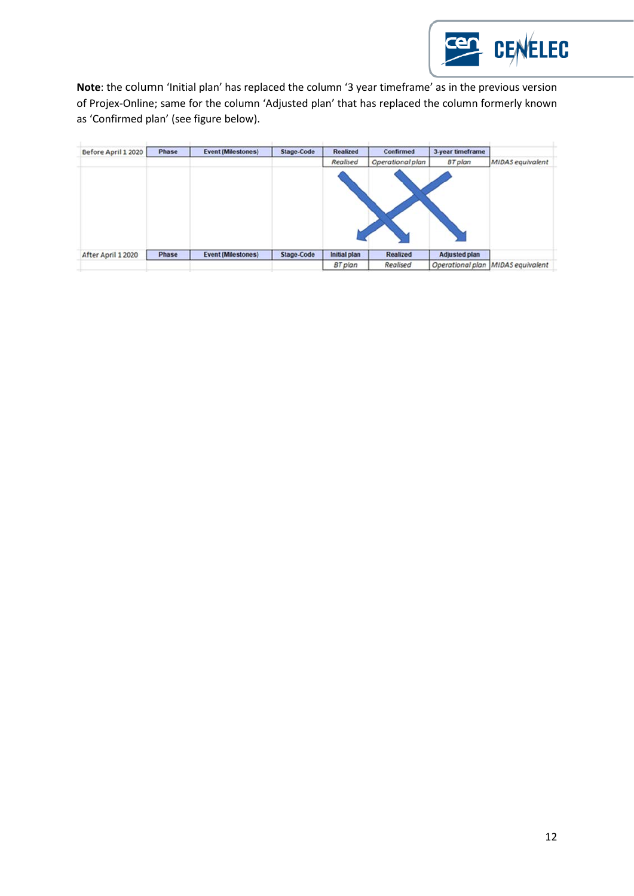

Note: the column 'Initial plan' has replaced the column '3 year timeframe' as in the previous version of Projex-Online; same for the column 'Adjusted plan' that has replaced the column formerly known as 'Confirmed plan' (see figure below).

| Before April 1 2020 | Phase | <b>Event (Milestones)</b> | Stage-Code | Realized            | <b>Confirmed</b> | 3-year timeframe     |                  |
|---------------------|-------|---------------------------|------------|---------------------|------------------|----------------------|------------------|
|                     |       |                           |            | <b>Realised</b>     | Operational plan | <b>BT</b> plan       | MIDAS equivalent |
|                     |       |                           |            |                     |                  |                      |                  |
| After April 1 2020  | Phase | <b>Event (Milestones)</b> | Stage-Code | <b>Initial plan</b> | <b>Realized</b>  | <b>Adjusted plan</b> |                  |
|                     |       |                           |            | <b>BT</b> plan      | Realised         | Operational plan     | MIDAS equivalent |
|                     |       |                           |            |                     |                  |                      |                  |